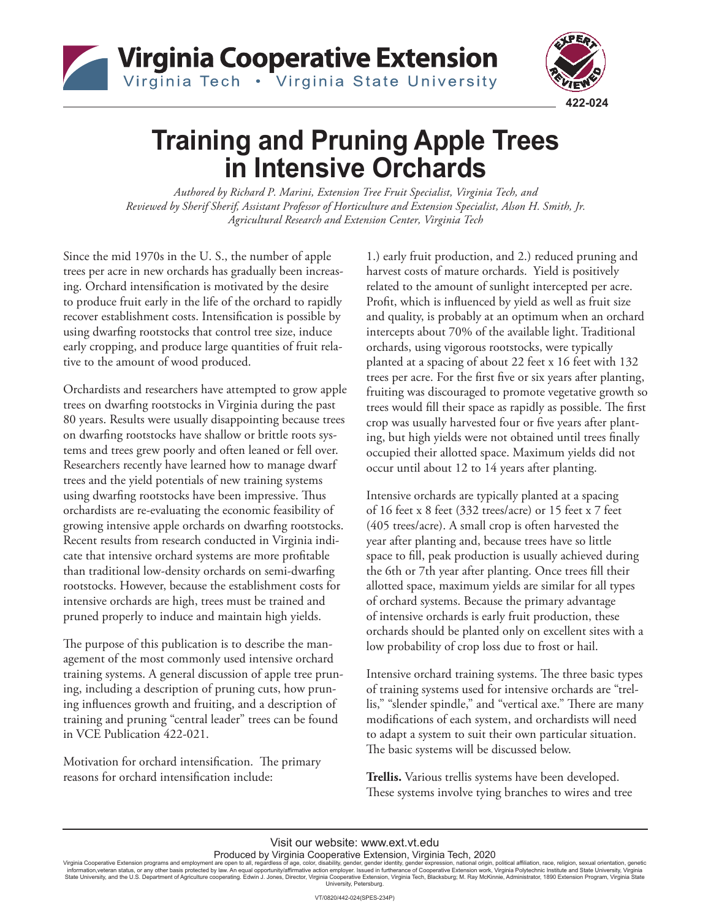



# **Training and Pruning Apple Trees in Intensive Orchards**

*Authored by Richard P. Marini, Extension Tree Fruit Specialist, Virginia Tech, and Reviewed by Sherif Sherif, Assistant Professor of Horticulture and Extension Specialist, Alson H. Smith, Jr. Agricultural Research and Extension Center, Virginia Tech* 

Since the mid 1970s in the U. S., the number of apple trees per acre in new orchards has gradually been increasing. Orchard intensifcation is motivated by the desire to produce fruit early in the life of the orchard to rapidly recover establishment costs. Intensifcation is possible by using dwarfng rootstocks that control tree size, induce early cropping, and produce large quantities of fruit relative to the amount of wood produced.

Orchardists and researchers have attempted to grow apple trees on dwarfng rootstocks in Virginia during the past 80 years. Results were usually disappointing because trees on dwarfng rootstocks have shallow or brittle roots systems and trees grew poorly and often leaned or fell over. Researchers recently have learned how to manage dwarf trees and the yield potentials of new training systems using dwarfing rootstocks have been impressive. Thus orchardists are re-evaluating the economic feasibility of growing intensive apple orchards on dwarfng rootstocks. Recent results from research conducted in Virginia indicate that intensive orchard systems are more proftable than traditional low-density orchards on semi-dwarfng rootstocks. However, because the establishment costs for intensive orchards are high, trees must be trained and pruned properly to induce and maintain high yields.

The purpose of this publication is to describe the management of the most commonly used intensive orchard training systems. A general discussion of apple tree pruning, including a description of pruning cuts, how pruning infuences growth and fruiting, and a description of training and pruning "central leader" trees can be found in VCE Publication 422-021.

Motivation for orchard intensification. The primary reasons for orchard intensifcation include:

1.) early fruit production, and 2.) reduced pruning and harvest costs of mature orchards. Yield is positively related to the amount of sunlight intercepted per acre. Proft, which is infuenced by yield as well as fruit size and quality, is probably at an optimum when an orchard intercepts about 70% of the available light. Traditional orchards, using vigorous rootstocks, were typically planted at a spacing of about 22 feet x 16 feet with 132 trees per acre. For the frst fve or six years after planting, fruiting was discouraged to promote vegetative growth so trees would fill their space as rapidly as possible. The first crop was usually harvested four or fve years after planting, but high yields were not obtained until trees fnally occupied their allotted space. Maximum yields did not occur until about 12 to 14 years after planting.

Intensive orchards are typically planted at a spacing of 16 feet x 8 feet (332 trees/acre) or 15 feet x 7 feet (405 trees/acre). A small crop is often harvested the year after planting and, because trees have so little space to fll, peak production is usually achieved during the 6th or 7th year after planting. Once trees fll their allotted space, maximum yields are similar for all types of orchard systems. Because the primary advantage of intensive orchards is early fruit production, these orchards should be planted only on excellent sites with a low probability of crop loss due to frost or hail.

Intensive orchard training systems. The three basic types of training systems used for intensive orchards are "trellis," "slender spindle," and "vertical axe." There are many modifcations of each system, and orchardists will need to adapt a system to suit their own particular situation. The basic systems will be discussed below.

**Trellis.** Various trellis systems have been developed. These systems involve tying branches to wires and tree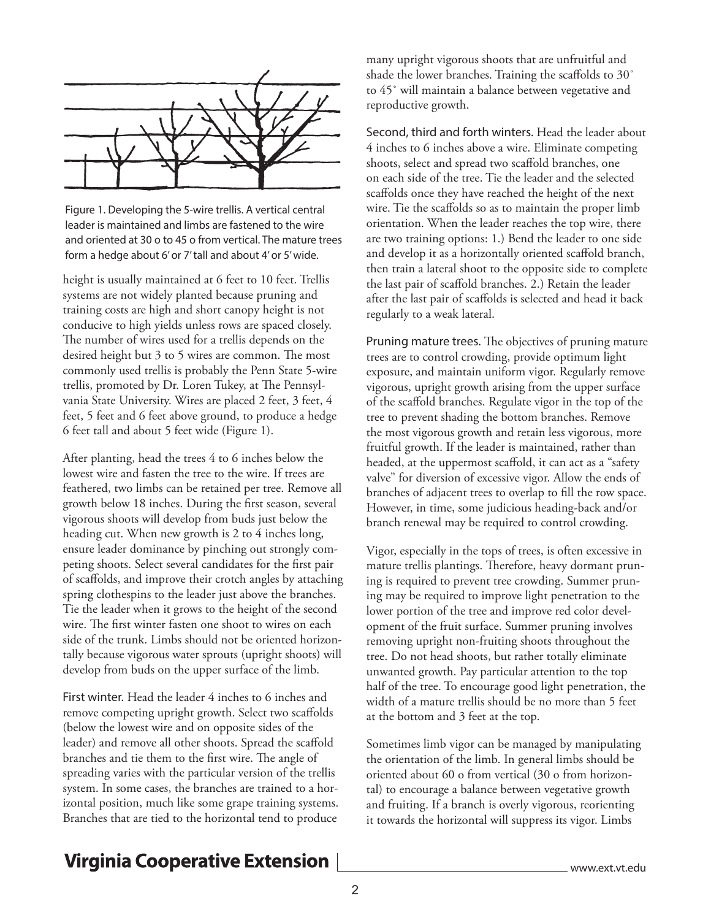

Figure 1. Developing the 5-wire trellis. A vertical central leader is maintained and limbs are fastened to the wire and oriented at 30 o to 45 o from vertical. The mature trees form a hedge about 6' or 7' tall and about 4' or 5' wide.

height is usually maintained at 6 feet to 10 feet. Trellis systems are not widely planted because pruning and training costs are high and short canopy height is not conducive to high yields unless rows are spaced closely. The number of wires used for a trellis depends on the desired height but 3 to 5 wires are common. The most commonly used trellis is probably the Penn State 5-wire trellis, promoted by Dr. Loren Tukey, at The Pennsylvania State University. Wires are placed 2 feet, 3 feet, 4 feet, 5 feet and 6 feet above ground, to produce a hedge 6 feet tall and about 5 feet wide (Figure 1).

After planting, head the trees 4 to 6 inches below the lowest wire and fasten the tree to the wire. If trees are feathered, two limbs can be retained per tree. Remove all growth below 18 inches. During the frst season, several vigorous shoots will develop from buds just below the heading cut. When new growth is 2 to 4 inches long, ensure leader dominance by pinching out strongly competing shoots. Select several candidates for the frst pair of scafolds, and improve their crotch angles by attaching spring clothespins to the leader just above the branches. Tie the leader when it grows to the height of the second wire. The first winter fasten one shoot to wires on each side of the trunk. Limbs should not be oriented horizontally because vigorous water sprouts (upright shoots) will develop from buds on the upper surface of the limb.

First winter. Head the leader 4 inches to 6 inches and remove competing upright growth. Select two scafolds (below the lowest wire and on opposite sides of the leader) and remove all other shoots. Spread the scafold branches and tie them to the first wire. The angle of spreading varies with the particular version of the trellis system. In some cases, the branches are trained to a horizontal position, much like some grape training systems. Branches that are tied to the horizontal tend to produce

many upright vigorous shoots that are unfruitful and shade the lower branches. Training the scaffolds to 30° to 45˚ will maintain a balance between vegetative and reproductive growth.

Second, third and forth winters. Head the leader about 4 inches to 6 inches above a wire. Eliminate competing shoots, select and spread two scafold branches, one on each side of the tree. Tie the leader and the selected scaffolds once they have reached the height of the next wire. Tie the scaffolds so as to maintain the proper limb orientation. When the leader reaches the top wire, there are two training options: 1.) Bend the leader to one side and develop it as a horizontally oriented scafold branch, then train a lateral shoot to the opposite side to complete the last pair of scafold branches. 2.) Retain the leader after the last pair of scafolds is selected and head it back regularly to a weak lateral.

Pruning mature trees. The objectives of pruning mature trees are to control crowding, provide optimum light exposure, and maintain uniform vigor. Regularly remove vigorous, upright growth arising from the upper surface of the scafold branches. Regulate vigor in the top of the tree to prevent shading the bottom branches. Remove the most vigorous growth and retain less vigorous, more fruitful growth. If the leader is maintained, rather than headed, at the uppermost scafold, it can act as a "safety valve" for diversion of excessive vigor. Allow the ends of branches of adjacent trees to overlap to fll the row space. However, in time, some judicious heading-back and/or branch renewal may be required to control crowding.

Vigor, especially in the tops of trees, is often excessive in mature trellis plantings. Therefore, heavy dormant pruning is required to prevent tree crowding. Summer pruning may be required to improve light penetration to the lower portion of the tree and improve red color development of the fruit surface. Summer pruning involves removing upright non-fruiting shoots throughout the tree. Do not head shoots, but rather totally eliminate unwanted growth. Pay particular attention to the top half of the tree. To encourage good light penetration, the width of a mature trellis should be no more than 5 feet at the bottom and 3 feet at the top.

Sometimes limb vigor can be managed by manipulating the orientation of the limb. In general limbs should be oriented about 60 o from vertical (30 o from horizontal) to encourage a balance between vegetative growth and fruiting. If a branch is overly vigorous, reorienting it towards the horizontal will suppress its vigor. Limbs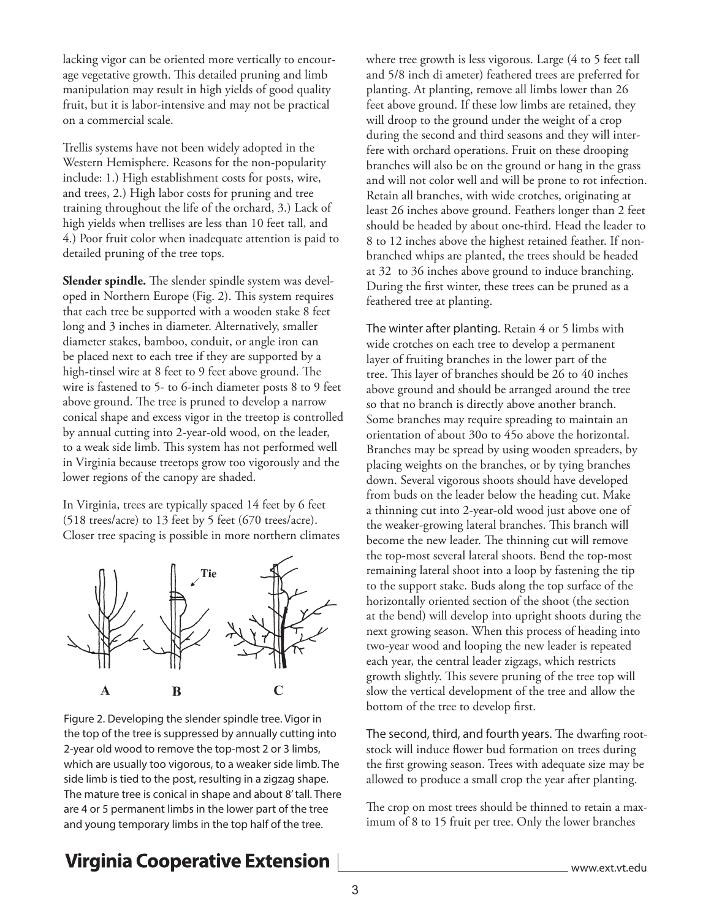lacking vigor can be oriented more vertically to encourage vegetative growth. This detailed pruning and limb manipulation may result in high yields of good quality fruit, but it is labor-intensive and may not be practical on a commercial scale.

Trellis systems have not been widely adopted in the Western Hemisphere. Reasons for the non-popularity include: 1.) High establishment costs for posts, wire, and trees, 2.) High labor costs for pruning and tree training throughout the life of the orchard, 3.) Lack of high yields when trellises are less than 10 feet tall, and 4.) Poor fruit color when inadequate attention is paid to detailed pruning of the tree tops.

**Slender spindle.** The slender spindle system was developed in Northern Europe (Fig. 2). This system requires that each tree be supported with a wooden stake 8 feet long and 3 inches in diameter. Alternatively, smaller diameter stakes, bamboo, conduit, or angle iron can be placed next to each tree if they are supported by a high-tinsel wire at 8 feet to 9 feet above ground. The wire is fastened to 5- to 6-inch diameter posts 8 to 9 feet above ground. The tree is pruned to develop a narrow conical shape and excess vigor in the treetop is controlled by annual cutting into 2-year-old wood, on the leader, to a weak side limb. This system has not performed well in Virginia because treetops grow too vigorously and the lower regions of the canopy are shaded.

In Virginia, trees are typically spaced 14 feet by 6 feet (518 trees/acre) to 13 feet by 5 feet (670 trees/acre). Closer tree spacing is possible in more northern climates



Figure 2. Developing the slender spindle tree. Vigor in the top of the tree is suppressed by annually cutting into 2-year old wood to remove the top-most 2 or 3 limbs, which are usually too vigorous, to a weaker side limb. The side limb is tied to the post, resulting in a zigzag shape. The mature tree is conical in shape and about 8' tall. There are 4 or 5 permanent limbs in the lower part of the tree and young temporary limbs in the top half of the tree.

where tree growth is less vigorous. Large (4 to 5 feet tall and 5/8 inch di ameter) feathered trees are preferred for planting. At planting, remove all limbs lower than 26 feet above ground. If these low limbs are retained, they will droop to the ground under the weight of a crop during the second and third seasons and they will interfere with orchard operations. Fruit on these drooping branches will also be on the ground or hang in the grass and will not color well and will be prone to rot infection. Retain all branches, with wide crotches, originating at least 26 inches above ground. Feathers longer than 2 feet should be headed by about one-third. Head the leader to 8 to 12 inches above the highest retained feather. If nonbranched whips are planted, the trees should be headed at 32 to 36 inches above ground to induce branching. During the frst winter, these trees can be pruned as a feathered tree at planting.

The winter after planting. Retain 4 or 5 limbs with wide crotches on each tree to develop a permanent layer of fruiting branches in the lower part of the tree. This layer of branches should be 26 to 40 inches above ground and should be arranged around the tree so that no branch is directly above another branch. Some branches may require spreading to maintain an orientation of about 30o to 45o above the horizontal. Branches may be spread by using wooden spreaders, by placing weights on the branches, or by tying branches down. Several vigorous shoots should have developed from buds on the leader below the heading cut. Make a thinning cut into 2-year-old wood just above one of the weaker-growing lateral branches. This branch will become the new leader. The thinning cut will remove the top-most several lateral shoots. Bend the top-most remaining lateral shoot into a loop by fastening the tip to the support stake. Buds along the top surface of the horizontally oriented section of the shoot (the section at the bend) will develop into upright shoots during the next growing season. When this process of heading into two-year wood and looping the new leader is repeated each year, the central leader zigzags, which restricts growth slightly. This severe pruning of the tree top will slow the vertical development of the tree and allow the bottom of the tree to develop frst.

The second, third, and fourth years. The dwarfing rootstock will induce flower bud formation on trees during the frst growing season. Trees with adequate size may be allowed to produce a small crop the year after planting.

The crop on most trees should be thinned to retain a maximum of 8 to 15 fruit per tree. Only the lower branches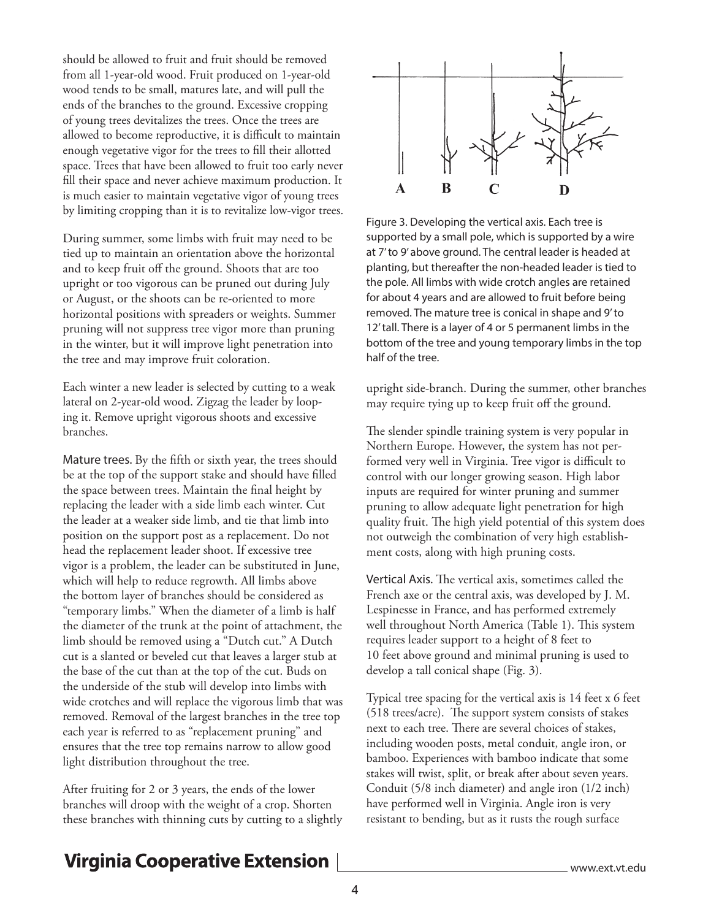should be allowed to fruit and fruit should be removed from all 1-year-old wood. Fruit produced on 1-year-old wood tends to be small, matures late, and will pull the ends of the branches to the ground. Excessive cropping of young trees devitalizes the trees. Once the trees are allowed to become reproductive, it is difficult to maintain enough vegetative vigor for the trees to fll their allotted space. Trees that have been allowed to fruit too early never fll their space and never achieve maximum production. It is much easier to maintain vegetative vigor of young trees by limiting cropping than it is to revitalize low-vigor trees.

During summer, some limbs with fruit may need to be tied up to maintain an orientation above the horizontal and to keep fruit off the ground. Shoots that are too upright or too vigorous can be pruned out during July or August, or the shoots can be re-oriented to more horizontal positions with spreaders or weights. Summer pruning will not suppress tree vigor more than pruning in the winter, but it will improve light penetration into the tree and may improve fruit coloration.

Each winter a new leader is selected by cutting to a weak lateral on 2-year-old wood. Zigzag the leader by looping it. Remove upright vigorous shoots and excessive branches.

Mature trees. By the ffth or sixth year, the trees should be at the top of the support stake and should have flled the space between trees. Maintain the fnal height by replacing the leader with a side limb each winter. Cut the leader at a weaker side limb, and tie that limb into position on the support post as a replacement. Do not head the replacement leader shoot. If excessive tree vigor is a problem, the leader can be substituted in June, which will help to reduce regrowth. All limbs above the bottom layer of branches should be considered as "temporary limbs." When the diameter of a limb is half the diameter of the trunk at the point of attachment, the limb should be removed using a "Dutch cut." A Dutch cut is a slanted or beveled cut that leaves a larger stub at the base of the cut than at the top of the cut. Buds on the underside of the stub will develop into limbs with wide crotches and will replace the vigorous limb that was removed. Removal of the largest branches in the tree top each year is referred to as "replacement pruning" and ensures that the tree top remains narrow to allow good light distribution throughout the tree.

After fruiting for 2 or 3 years, the ends of the lower branches will droop with the weight of a crop. Shorten these branches with thinning cuts by cutting to a slightly



Figure 3. Developing the vertical axis. Each tree is supported by a small pole, which is supported by a wire at 7' to 9' above ground. The central leader is headed at planting, but thereafter the non-headed leader is tied to the pole. All limbs with wide crotch angles are retained for about 4 years and are allowed to fruit before being removed. The mature tree is conical in shape and 9' to 12' tall. There is a layer of 4 or 5 permanent limbs in the bottom of the tree and young temporary limbs in the top half of the tree.

upright side-branch. During the summer, other branches may require tying up to keep fruit off the ground.

The slender spindle training system is very popular in Northern Europe. However, the system has not performed very well in Virginia. Tree vigor is difficult to control with our longer growing season. High labor inputs are required for winter pruning and summer pruning to allow adequate light penetration for high quality fruit. The high yield potential of this system does not outweigh the combination of very high establishment costs, along with high pruning costs.

Vertical Axis. The vertical axis, sometimes called the French axe or the central axis, was developed by J. M. Lespinesse in France, and has performed extremely well throughout North America (Table 1). This system requires leader support to a height of 8 feet to 10 feet above ground and minimal pruning is used to develop a tall conical shape (Fig. 3).

Typical tree spacing for the vertical axis is 14 feet x 6 feet  $(518 \text{ trees/acre})$ . The support system consists of stakes next to each tree. There are several choices of stakes, including wooden posts, metal conduit, angle iron, or bamboo. Experiences with bamboo indicate that some stakes will twist, split, or break after about seven years. Conduit (5/8 inch diameter) and angle iron (1/2 inch) have performed well in Virginia. Angle iron is very resistant to bending, but as it rusts the rough surface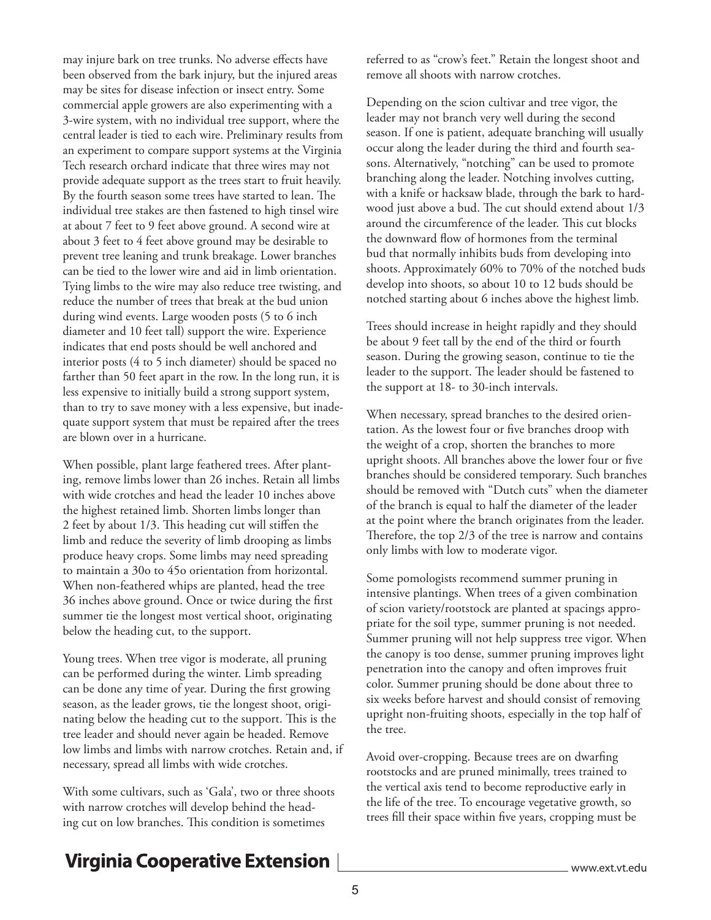may injure bark on tree trunks. No adverse efects have been observed from the bark injury, but the injured areas may be sites for disease infection or insect entry. Some commercial apple growers are also experimenting with a 3-wire system, with no individual tree support, where the central leader is tied to each wire. Preliminary results from an experiment to compare support systems at the Virginia Tech research orchard indicate that three wires may not provide adequate support as the trees start to fruit heavily. By the fourth season some trees have started to lean. The individual tree stakes are then fastened to high tinsel wire at about 7 feet to 9 feet above ground. A second wire at about 3 feet to 4 feet above ground may be desirable to prevent tree leaning and trunk breakage. Lower branches can be tied to the lower wire and aid in limb orientation. Tying limbs to the wire may also reduce tree twisting, and reduce the number of trees that break at the bud union during wind events. Large wooden posts (5 to 6 inch diameter and 10 feet tall) support the wire. Experience indicates that end posts should be well anchored and interior posts (4 to 5 inch diameter) should be spaced no farther than 50 feet apart in the row. In the long run, it is less expensive to initially build a strong support system, than to try to save money with a less expensive, but inadequate support system that must be repaired after the trees are blown over in a hurricane.

When possible, plant large feathered trees. After planting, remove limbs lower than 26 inches. Retain all limbs with wide crotches and head the leader 10 inches above the highest retained limb. Shorten limbs longer than 2 feet by about  $1/3$ . This heading cut will stiffen the limb and reduce the severity of limb drooping as limbs produce heavy crops. Some limbs may need spreading to maintain a 30o to 45o orientation from horizontal. When non-feathered whips are planted, head the tree 36 inches above ground. Once or twice during the frst summer tie the longest most vertical shoot, originating below the heading cut, to the support.

Young trees. When tree vigor is moderate, all pruning can be performed during the winter. Limb spreading can be done any time of year. During the frst growing season, as the leader grows, tie the longest shoot, originating below the heading cut to the support. This is the tree leader and should never again be headed. Remove low limbs and limbs with narrow crotches. Retain and, if necessary, spread all limbs with wide crotches.

With some cultivars, such as 'Gala', two or three shoots with narrow crotches will develop behind the heading cut on low branches. This condition is sometimes

referred to as "crow's feet." Retain the longest shoot and remove all shoots with narrow crotches.

Depending on the scion cultivar and tree vigor, the leader may not branch very well during the second season. If one is patient, adequate branching will usually occur along the leader during the third and fourth seasons. Alternatively, "notching" can be used to promote branching along the leader. Notching involves cutting, with a knife or hacksaw blade, through the bark to hardwood just above a bud. The cut should extend about  $1/3$ around the circumference of the leader. This cut blocks the downward flow of hormones from the terminal bud that normally inhibits buds from developing into shoots. Approximately 60% to 70% of the notched buds develop into shoots, so about 10 to 12 buds should be notched starting about 6 inches above the highest limb.

Trees should increase in height rapidly and they should be about 9 feet tall by the end of the third or fourth season. During the growing season, continue to tie the leader to the support. The leader should be fastened to the support at 18- to 30-inch intervals.

When necessary, spread branches to the desired orientation. As the lowest four or fve branches droop with the weight of a crop, shorten the branches to more upright shoots. All branches above the lower four or fve branches should be considered temporary. Such branches should be removed with "Dutch cuts" when the diameter of the branch is equal to half the diameter of the leader at the point where the branch originates from the leader. Therefore, the top  $2/3$  of the tree is narrow and contains only limbs with low to moderate vigor.

Some pomologists recommend summer pruning in intensive plantings. When trees of a given combination of scion variety/rootstock are planted at spacings appropriate for the soil type, summer pruning is not needed. Summer pruning will not help suppress tree vigor. When the canopy is too dense, summer pruning improves light penetration into the canopy and often improves fruit color. Summer pruning should be done about three to six weeks before harvest and should consist of removing upright non-fruiting shoots, especially in the top half of the tree.

Avoid over-cropping. Because trees are on dwarfng rootstocks and are pruned minimally, trees trained to the vertical axis tend to become reproductive early in the life of the tree. To encourage vegetative growth, so trees fll their space within fve years, cropping must be